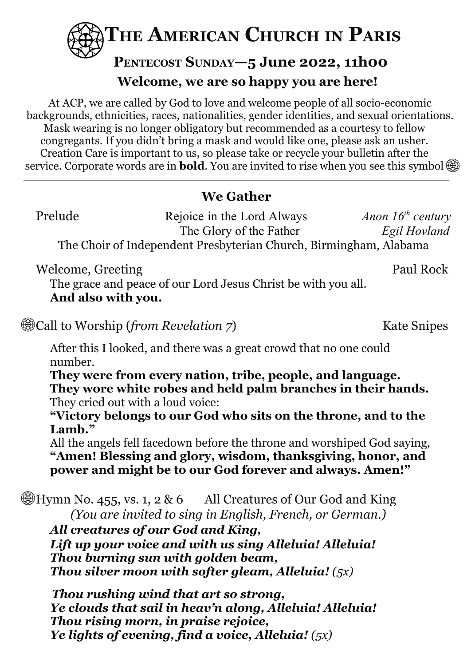

# **PENTECOST SUNDAY—5 June 2022, 11h00 Welcome, we are so happy you are here!**

At ACP, we are called by God to love and welcome people of all socio-economic backgrounds, ethnicities, races, nationalities, gender identities, and sexual orientations. Mask wearing is no longer obligatory but recommended as a courtesy to fellow congregants. If you didn't bring a mask and would like one, please ask an usher. Creation Care is important to us, so please take or recycle your bulletin after the service. Corporate words are in **bold**. You are invited to rise when you see this symbol

# **We Gather**

Prelude Rejoice in the Lord Always *Anon* 16<sup>th</sup> century The Glory of the Father *Egil Hovland* The Choir of Independent Presbyterian Church, Birmingham, Alabama

Welcome, Greeting Paul Rock

The grace and peace of our Lord Jesus Christ be with you all. **And also with you.**

**Example 18 In 2018** Call to Worship (*from Revelation 7*) Kate Snipes

After this I looked, and there was a great crowd that no one could number.

**They were from every nation, tribe, people, and language. They wore white robes and held palm branches in their hands.** They cried out with a loud voice:

**"Victory belongs to our God who sits on the throne, and to the Lamb."**

All the angels fell facedown before the throne and worshiped God saying, **"Amen! Blessing and glory, wisdom, thanksgiving, honor, and power and might be to our God forever and always. Amen!"**

 $\circledast$ Hymn No. 455, vs. 1, 2 & 6 All Creatures of Our God and King *(You are invited to sing in English, French, or German.)*

*All creatures of our God and King, Lift up your voice and with us sing Alleluia! Alleluia! Thou burning sun with golden beam, Thou silver moon with softer gleam, Alleluia! (5x)*

*Thou rushing wind that art so strong, Ye clouds that sail in heav'n along, Alleluia! Alleluia! Thou rising morn, in praise rejoice, Ye lights of evening, find a voice, Alleluia! (5x)*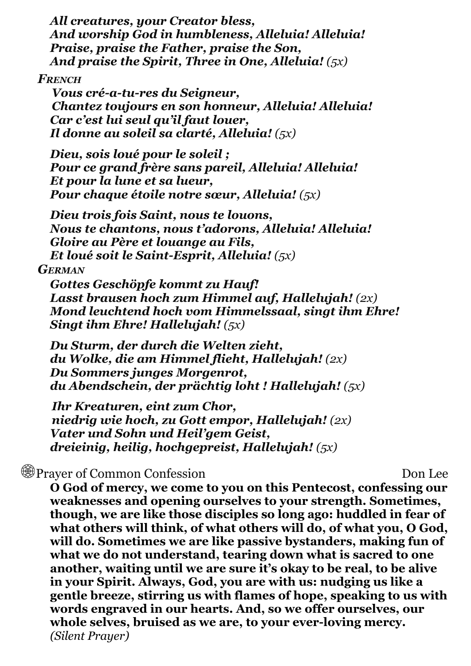*All creatures, your Creator bless, And worship God in humbleness, Alleluia! Alleluia! Praise, praise the Father, praise the Son, And praise the Spirit, Three in One, Alleluia! (5x)*

#### *FRENCH*

*Vous cré-a-tu-res du Seigneur, Chantez toujours en son honneur, Alleluia! Alleluia! Car c'est lui seul qu'il faut louer, Il donne au soleil sa clarté, Alleluia! (5x)*

*Dieu, sois loué pour le soleil ; Pour ce grand frère sans pareil, Alleluia! Alleluia! Et pour la lune et sa lueur, Pour chaque étoile notre sœur, Alleluia! (5x)*

*Dieu trois fois Saint, nous te louons, Nous te chantons, nous t'adorons, Alleluia! Alleluia! Gloire au Père et louange au Fils, Et loué soit le Saint-Esprit, Alleluia! (5x)*

#### *GERMAN*

*Gottes Geschöpfe kommt zu Hauf! Lasst brausen hoch zum Himmel auf, Hallelujah! (2x) Mond leuchtend hoch vom Himmelssaal, singt ihm Ehre! Singt ihm Ehre! Hallelujah! (5x)*

*Du Sturm, der durch die Welten zieht, du Wolke, die am Himmel flieht, Hallelujah! (2x) Du Sommers junges Morgenrot, du Abendschein, der prächtig loht ! Hallelujah! (5x)*

*Ihr Kreaturen, eint zum Chor, niedrig wie hoch, zu Gott empor, Hallelujah! (2x) Vater und Sohn und Heil'gem Geist, dreieinig, heilig, hochgepreist, Hallelujah! (5x)*

# **Example 20 Prayer of Common Confession** Don Lee

**O God of mercy, we come to you on this Pentecost, confessing our weaknesses and opening ourselves to your strength. Sometimes, though, we are like those disciples so long ago: huddled in fear of what others will think, of what others will do, of what you, O God, will do. Sometimes we are like passive bystanders, making fun of what we do not understand, tearing down what is sacred to one another, waiting until we are sure it's okay to be real, to be alive in your Spirit. Always, God, you are with us: nudging us like a gentle breeze, stirring us with flames of hope, speaking to us with words engraved in our hearts. And, so we offer ourselves, our whole selves, bruised as we are, to your ever-loving mercy.** *(Silent Prayer)*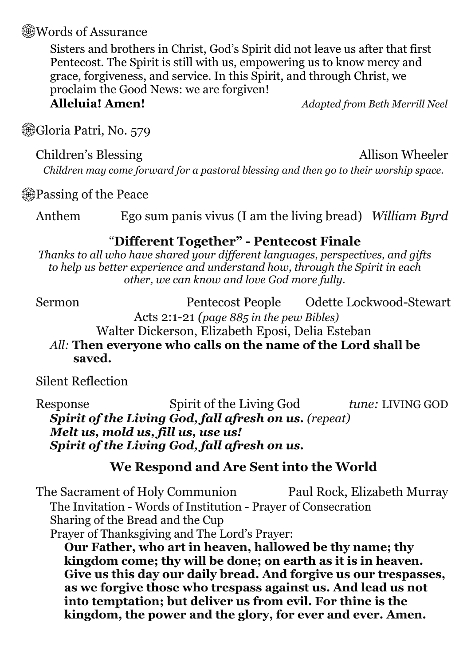### **Words of Assurance**

Sisters and brothers in Christ, God's Spirit did not leave us after that first Pentecost. The Spirit is still with us, empowering us to know mercy and grace, forgiveness, and service. In this Spirit, and through Christ, we proclaim the Good News: we are forgiven!

**Alleluia! Amen!** *Adapted from Beth Merrill Neel*

Gloria Patri, No. 579

Children's Blessing Allison Wheeler

*Children may come forward for a pastoral blessing and then go to their worship space.*

*<u></u>* Passing of the Peace

Anthem Ego sum panis vivus (I am the living bread) *William Byrd*

## "**Different Together" - Pentecost Finale**

*Thanks to all who have shared your dif erent languages, perspectives, and gifts to help us better experience and understand how, through the Spirit in each other, we can know and love God more fully.*

Sermon Pentecost People Odette Lockwood-Stewart Acts 2:1-21 *(page 885 in the pew Bibles)*

Walter Dickerson, Elizabeth Eposi, Delia Esteban

*All:* **Then everyone who calls on the name of the Lord shall be saved.**

Silent Reflection

Response Spirit of the Living God *tune:* LIVING GOD *Spirit of the Living God, fall afresh on us. (repeat) Melt us, mold us, fill us, use us! Spirit of the Living God, fall afresh on us.*

## **We Respond and Are Sent into the World**

The Sacrament of Holy Communion Paul Rock, Elizabeth Murray The Invitation *-* Words of Institution - Prayer of Consecration Sharing of the Bread and the Cup Prayer of Thanksgiving and The Lord's Prayer:

**Our Father, who art in heaven, hallowed be thy name; thy kingdom come; thy will be done; on earth as it is in heaven. Give us this day our daily bread. And forgive us our trespasses, as we forgive those who trespass against us. And lead us not into temptation; but deliver us from evil. For thine is the kingdom, the power and the glory, for ever and ever. Amen.**